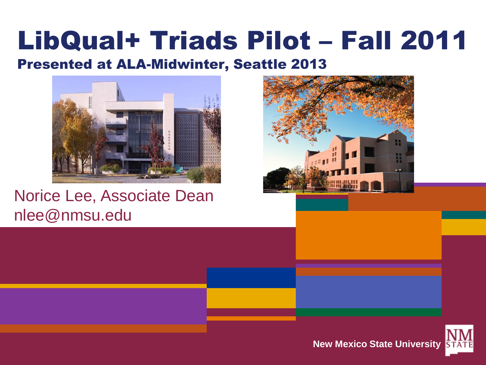#### LibQual+ Triads Pilot – Fall 2011

#### Presented at ALA-Midwinter, Seattle 2013



Norice Lee, Associate Dean nlee@nmsu.edu



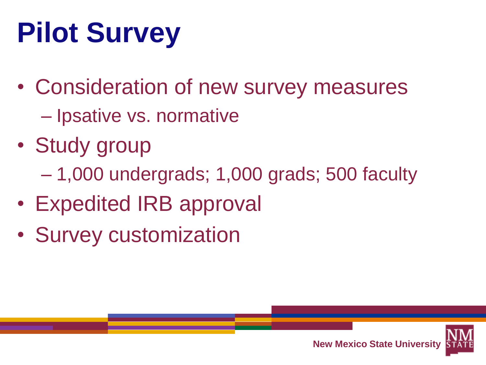# **Pilot Survey**

- Consideration of new survey measures – Ipsative vs. normative
- Study group
	- 1,000 undergrads; 1,000 grads; 500 faculty
- Expedited IRB approval
- Survey customization

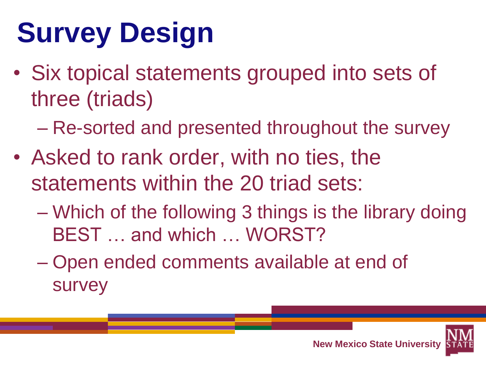## **Survey Design**

- Six topical statements grouped into sets of three (triads)
	- Re-sorted and presented throughout the survey
- Asked to rank order, with no ties, the statements within the 20 triad sets:
	- Which of the following 3 things is the library doing BEST … and which … WORST?
	- Open ended comments available at end of survey

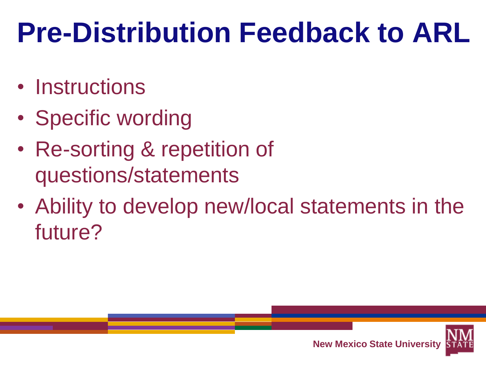#### **Pre-Distribution Feedback to ARL**

- Instructions
- Specific wording
- Re-sorting & repetition of questions/statements
- Ability to develop new/local statements in the future?

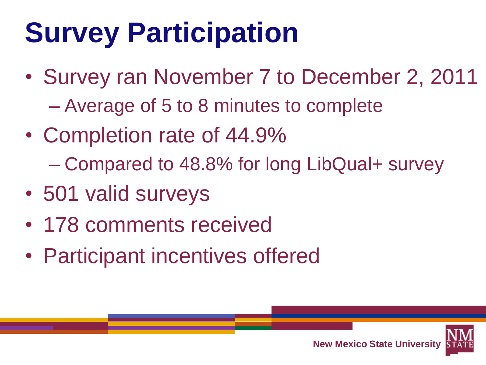## **Survey Participation**

- Survey ran November 7 to December 2, 2011 – Average of 5 to 8 minutes to complete
- Completion rate of 44.9% – Compared to 48.8% for long LibQual+ survey
- 501 valid surveys
- 178 comments received
- Participant incentives offered

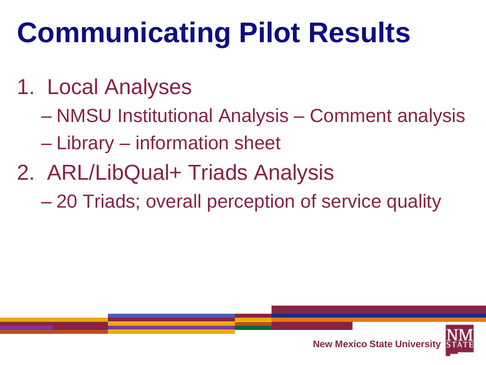## **Communicating Pilot Results**

- 1. Local Analyses
	- NMSU Institutional Analysis Comment analysis
	- Library information sheet
- 2. ARL/LibQual+ Triads Analysis
	- 20 Triads; overall perception of service quality

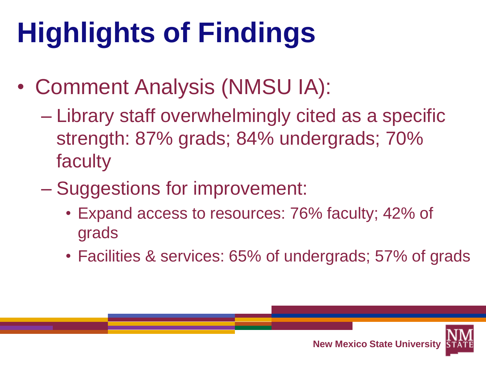# **Highlights of Findings**

- Comment Analysis (NMSU IA):
	- Library staff overwhelmingly cited as a specific strength: 87% grads; 84% undergrads; 70% faculty
	- Suggestions for improvement:
		- Expand access to resources: 76% faculty; 42% of grads
		- Facilities & services: 65% of undergrads; 57% of grads

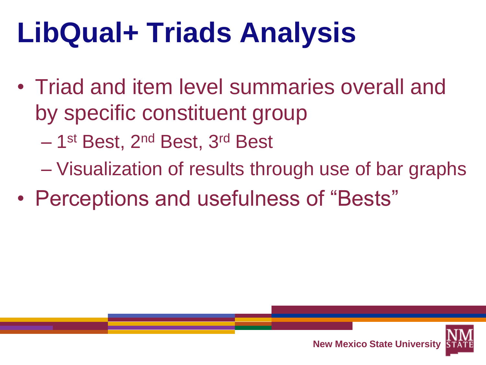#### **LibQual+ Triads Analysis**

- Triad and item level summaries overall and by specific constituent group
	- 1<sup>st</sup> Best, 2<sup>nd</sup> Best, 3<sup>rd</sup> Best
	- Visualization of results through use of bar graphs
- Perceptions and usefulness of "Bests"